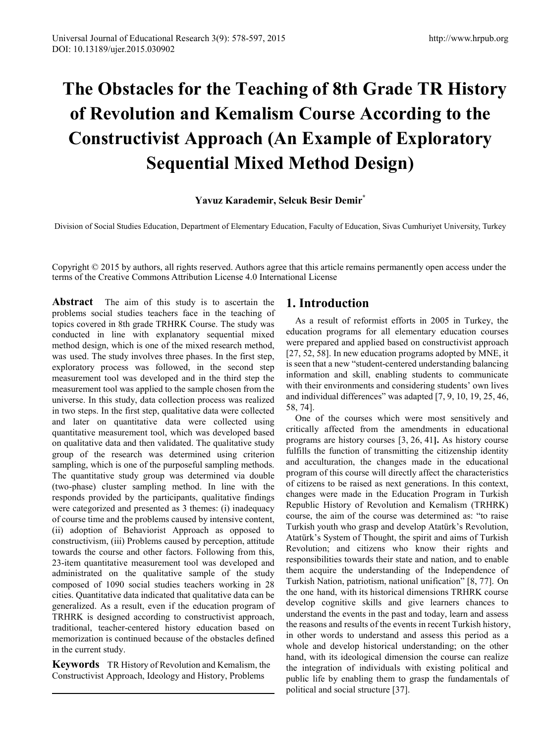# **Yavuz Karademir, Selcuk Besir Demir\***

Division of Social Studies Education, Department of Elementary Education, Faculty of Education, Sivas Cumhuriyet University, Turkey

Copyright © 2015 by authors, all rights reserved. Authors agree that this article remains permanently open access under the terms of the Creative Commons Attribution License 4.0 International License

**Abstract** The aim of this study is to ascertain the problems social studies teachers face in the teaching of topics covered in 8th grade TRHRK Course. The study was conducted in line with explanatory sequential mixed method design, which is one of the mixed research method, was used. The study involves three phases. In the first step, exploratory process was followed, in the second step measurement tool was developed and in the third step the measurement tool was applied to the sample chosen from the universe. In this study, data collection process was realized in two steps. In the first step, qualitative data were collected and later on quantitative data were collected using quantitative measurement tool, which was developed based on qualitative data and then validated. The qualitative study group of the research was determined using criterion sampling, which is one of the purposeful sampling methods. The quantitative study group was determined via double (two-phase) cluster sampling method. In line with the responds provided by the participants, qualitative findings were categorized and presented as 3 themes: (i) inadequacy of course time and the problems caused by intensive content, (ii) adoption of Behaviorist Approach as opposed to constructivism, (iii) Problems caused by perception, attitude towards the course and other factors. Following from this, 23-item quantitative measurement tool was developed and administrated on the qualitative sample of the study composed of 1090 social studies teachers working in 28 cities. Quantitative data indicated that qualitative data can be generalized. As a result, even if the education program of TRHRK is designed according to constructivist approach, traditional, teacher-centered history education based on memorization is continued because of the obstacles defined in the current study.

**Keywords** TR History of Revolution and Kemalism, the Constructivist Approach, Ideology and History, Problems

# **1. Introduction**

As a result of reformist efforts in 2005 in Turkey, the education programs for all elementary education courses were prepared and applied based on constructivist approach [27, 52, 58]. In new education programs adopted by MNE, it is seen that a new "student-centered understanding balancing information and skill, enabling students to communicate with their environments and considering students' own lives and individual differences" was adapted [7, 9, 10, 19, 25, 46, 58, 74].

One of the courses which were most sensitively and critically affected from the amendments in educational programs are history courses [3, 26, 41**].** As history course fulfills the function of transmitting the citizenship identity and acculturation, the changes made in the educational program of this course will directly affect the characteristics of citizens to be raised as next generations. In this context, changes were made in the Education Program in Turkish Republic History of Revolution and Kemalism (TRHRK) course, the aim of the course was determined as: "to raise Turkish youth who grasp and develop Atatürk's Revolution, Atatürk's System of Thought, the spirit and aims of Turkish Revolution; and citizens who know their rights and responsibilities towards their state and nation, and to enable them acquire the understanding of the Independence of Turkish Nation, patriotism, national unification" [8, 77]. On the one hand, with its historical dimensions TRHRK course develop cognitive skills and give learners chances to understand the events in the past and today, learn and assess the reasons and results of the events in recent Turkish history, in other words to understand and assess this period as a whole and develop historical understanding; on the other hand, with its ideological dimension the course can realize the integration of individuals with existing political and public life by enabling them to grasp the fundamentals of political and social structure [37].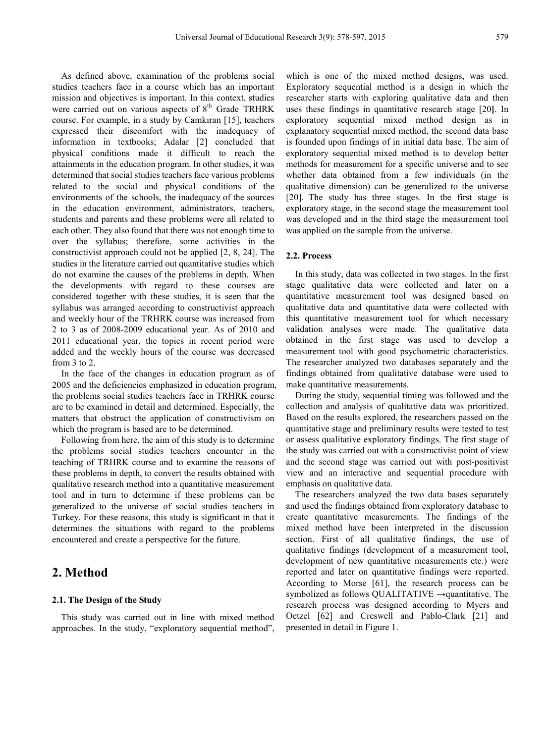As defined above, examination of the problems social studies teachers face in a course which has an important mission and objectives is important. In this context, studies were carried out on various aspects of 8<sup>th</sup> Grade TRHRK course. For example, in a study by Camkıran [15], teachers expressed their discomfort with the inadequacy of information in textbooks; Adalar [2] concluded that physical conditions made it difficult to reach the attainments in the education program. In other studies, it was determined that social studies teachers face various problems related to the social and physical conditions of the environments of the schools, the inadequacy of the sources in the education environment, administrators, teachers, students and parents and these problems were all related to each other. They also found that there was not enough time to over the syllabus; therefore, some activities in the constructivist approach could not be applied [2, 8, 24]. The studies in the literature carried out quantitative studies which do not examine the causes of the problems in depth. When the developments with regard to these courses are considered together with these studies, it is seen that the syllabus was arranged according to constructivist approach and weekly hour of the TRHRK course was increased from 2 to 3 as of 2008-2009 educational year. As of 2010 and 2011 educational year, the topics in recent period were added and the weekly hours of the course was decreased from 3 to 2.

In the face of the changes in education program as of 2005 and the deficiencies emphasized in education program, the problems social studies teachers face in TRHRK course are to be examined in detail and determined. Especially, the matters that obstruct the application of constructivism on which the program is based are to be determined.

Following from here, the aim of this study is to determine the problems social studies teachers encounter in the teaching of TRHRK course and to examine the reasons of these problems in depth, to convert the results obtained with qualitative research method into a quantitative measurement tool and in turn to determine if these problems can be generalized to the universe of social studies teachers in Turkey. For these reasons, this study is significant in that it determines the situations with regard to the problems encountered and create a perspective for the future.

# **2. Method**

# **2.1. The Design of the Study**

This study was carried out in line with mixed method approaches. In the study, "exploratory sequential method",

which is one of the mixed method designs, was used. Exploratory sequential method is a design in which the researcher starts with exploring qualitative data and then uses these findings in quantitative research stage [20**]**. In exploratory sequential mixed method design as in explanatory sequential mixed method, the second data base is founded upon findings of in initial data base. The aim of exploratory sequential mixed method is to develop better methods for measurement for a specific universe and to see whether data obtained from a few individuals (in the qualitative dimension) can be generalized to the universe [20]. The study has three stages. In the first stage is exploratory stage, in the second stage the measurement tool was developed and in the third stage the measurement tool was applied on the sample from the universe.

# **2.2. Process**

In this study, data was collected in two stages. In the first stage qualitative data were collected and later on a quantitative measurement tool was designed based on qualitative data and quantitative data were collected with this quantitative measurement tool for which necessary validation analyses were made. The qualitative data obtained in the first stage was used to develop a measurement tool with good psychometric characteristics. The researcher analyzed two databases separately and the findings obtained from qualitative database were used to make quantitative measurements.

During the study, sequential timing was followed and the collection and analysis of qualitative data was prioritized. Based on the results explored, the researchers passed on the quantitative stage and preliminary results were tested to test or assess qualitative exploratory findings. The first stage of the study was carried out with a constructivist point of view and the second stage was carried out with post-positivist view and an interactive and sequential procedure with emphasis on qualitative data.

The researchers analyzed the two data bases separately and used the findings obtained from exploratory database to create quantitative measurements. The findings of the mixed method have been interpreted in the discussion section. First of all qualitative findings, the use of qualitative findings (development of a measurement tool, development of new quantitative measurements etc.) were reported and later on quantitative findings were reported. According to Morse [61], the research process can be symbolized as follows QUALITATIVE  $\rightarrow$ quantitative. The research process was designed according to Myers and Oetzel [62] and Creswell and Pablo-Clark [21] and presented in detail in Figure 1.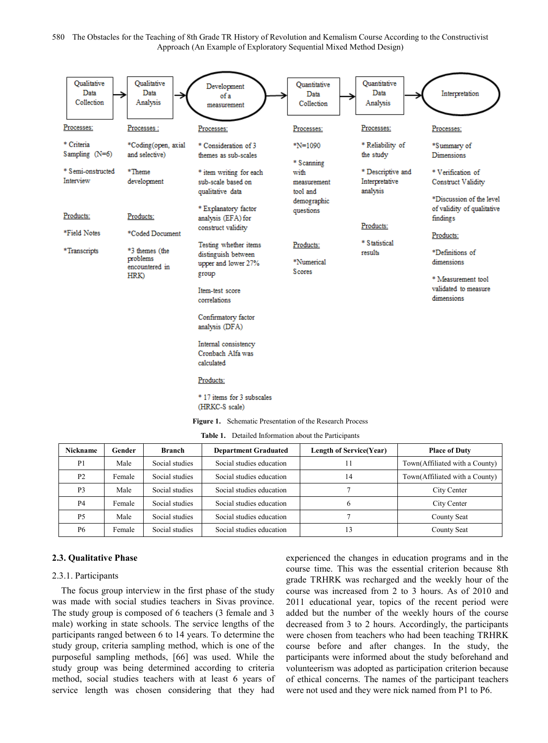

**Table 1.** Detailed Information about the Participants

| Nickname       | Gender | <b>Branch</b>  | <b>Department Graduated</b> | <b>Length of Service(Year)</b> | <b>Place of Duty</b>           |
|----------------|--------|----------------|-----------------------------|--------------------------------|--------------------------------|
| P <sub>1</sub> | Male   | Social studies | Social studies education    |                                | Town(Affiliated with a County) |
| P <sub>2</sub> | Female | Social studies | Social studies education    | 14                             | Town(Affiliated with a County) |
| P <sub>3</sub> | Male   | Social studies | Social studies education    |                                | City Center                    |
| P <sub>4</sub> | Female | Social studies | Social studies education    | 6                              | City Center                    |
| <b>P5</b>      | Male   | Social studies | Social studies education    |                                | County Seat                    |
| P6             | Female | Social studies | Social studies education    | 13                             | County Seat                    |

# **2.3. Qualitative Phase**

# 2.3.1. Participants

The focus group interview in the first phase of the study was made with social studies teachers in Sivas province. The study group is composed of 6 teachers (3 female and 3 male) working in state schools. The service lengths of the participants ranged between 6 to 14 years. To determine the study group, criteria sampling method, which is one of the purposeful sampling methods, [66] was used. While the study group was being determined according to criteria method, social studies teachers with at least 6 years of service length was chosen considering that they had

experienced the changes in education programs and in the course time. This was the essential criterion because 8th grade TRHRK was recharged and the weekly hour of the course was increased from 2 to 3 hours. As of 2010 and 2011 educational year, topics of the recent period were added but the number of the weekly hours of the course decreased from 3 to 2 hours. Accordingly, the participants were chosen from teachers who had been teaching TRHRK course before and after changes. In the study, the participants were informed about the study beforehand and volunteerism was adopted as participation criterion because of ethical concerns. The names of the participant teachers were not used and they were nick named from P1 to P6.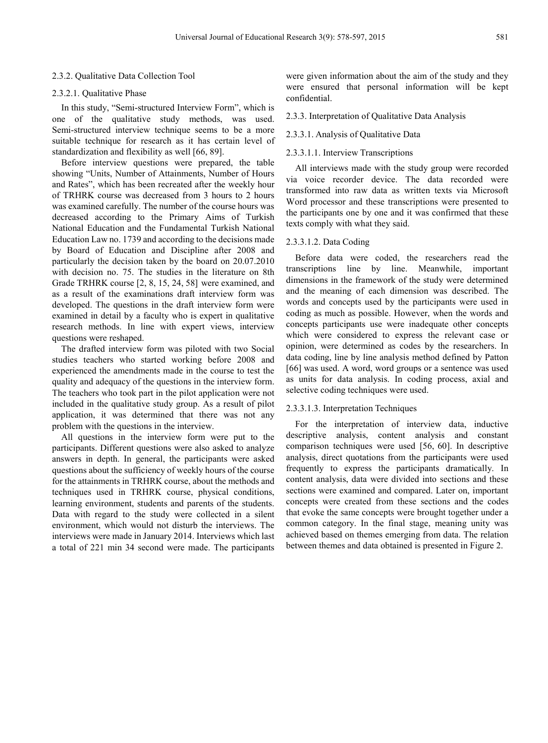#### 2.3.2. Qualitative Data Collection Tool

#### 2.3.2.1. Qualitative Phase

In this study, "Semi-structured Interview Form", which is one of the qualitative study methods, was used. Semi-structured interview technique seems to be a more suitable technique for research as it has certain level of standardization and flexibility as well [66, 89].

Before interview questions were prepared, the table showing "Units, Number of Attainments, Number of Hours and Rates", which has been recreated after the weekly hour of TRHRK course was decreased from 3 hours to 2 hours was examined carefully. The number of the course hours was decreased according to the Primary Aims of Turkish National Education and the Fundamental Turkish National Education Law no. 1739 and according to the decisions made by Board of Education and Discipline after 2008 and particularly the decision taken by the board on 20.07.2010 with decision no. 75. The studies in the literature on 8th Grade TRHRK course [2, 8, 15, 24, 58] were examined, and as a result of the examinations draft interview form was developed. The questions in the draft interview form were examined in detail by a faculty who is expert in qualitative research methods. In line with expert views, interview questions were reshaped.

The drafted interview form was piloted with two Social studies teachers who started working before 2008 and experienced the amendments made in the course to test the quality and adequacy of the questions in the interview form. The teachers who took part in the pilot application were not included in the qualitative study group. As a result of pilot application, it was determined that there was not any problem with the questions in the interview.

All questions in the interview form were put to the participants. Different questions were also asked to analyze answers in depth. In general, the participants were asked questions about the sufficiency of weekly hours of the course for the attainments in TRHRK course, about the methods and techniques used in TRHRK course, physical conditions, learning environment, students and parents of the students. Data with regard to the study were collected in a silent environment, which would not disturb the interviews. The interviews were made in January 2014. Interviews which last a total of 221 min 34 second were made. The participants

were given information about the aim of the study and they were ensured that personal information will be kept confidential.

#### 2.3.3. Interpretation of Qualitative Data Analysis

#### 2.3.3.1. Analysis of Qualitative Data

#### 2.3.3.1.1. Interview Transcriptions

All interviews made with the study group were recorded via voice recorder device. The data recorded were transformed into raw data as written texts via Microsoft Word processor and these transcriptions were presented to the participants one by one and it was confirmed that these texts comply with what they said.

#### 2.3.3.1.2. Data Coding

Before data were coded, the researchers read the transcriptions line by line. Meanwhile, important dimensions in the framework of the study were determined and the meaning of each dimension was described. The words and concepts used by the participants were used in coding as much as possible. However, when the words and concepts participants use were inadequate other concepts which were considered to express the relevant case or opinion, were determined as codes by the researchers. In data coding, line by line analysis method defined by Patton [66] was used. A word, word groups or a sentence was used as units for data analysis. In coding process, axial and selective coding techniques were used.

## 2.3.3.1.3. Interpretation Techniques

For the interpretation of interview data, inductive descriptive analysis, content analysis and constant comparison techniques were used [56, 60]. In descriptive analysis, direct quotations from the participants were used frequently to express the participants dramatically. In content analysis, data were divided into sections and these sections were examined and compared. Later on, important concepts were created from these sections and the codes that evoke the same concepts were brought together under a common category. In the final stage, meaning unity was achieved based on themes emerging from data. The relation between themes and data obtained is presented in Figure 2.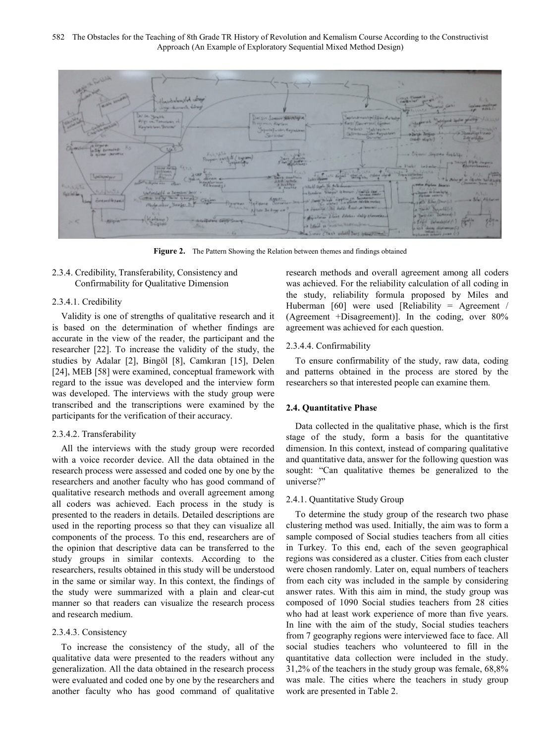

**Figure 2.** The Pattern Showing the Relation between themes and findings obtained

2.3.4. Credibility, Transferability, Consistency and Confirmability for Qualitative Dimension

## 2.3.4.1. Credibility

Validity is one of strengths of qualitative research and it is based on the determination of whether findings are accurate in the view of the reader, the participant and the researcher [22]. To increase the validity of the study, the studies by Adalar [2], Bingöl [8], Camkıran [15], Delen [24], MEB [58] were examined, conceptual framework with regard to the issue was developed and the interview form was developed. The interviews with the study group were transcribed and the transcriptions were examined by the participants for the verification of their accuracy.

## 2.3.4.2. Transferability

All the interviews with the study group were recorded with a voice recorder device. All the data obtained in the research process were assessed and coded one by one by the researchers and another faculty who has good command of qualitative research methods and overall agreement among all coders was achieved. Each process in the study is presented to the readers in details. Detailed descriptions are used in the reporting process so that they can visualize all components of the process. To this end, researchers are of the opinion that descriptive data can be transferred to the study groups in similar contexts. According to the researchers, results obtained in this study will be understood in the same or similar way. In this context, the findings of the study were summarized with a plain and clear-cut manner so that readers can visualize the research process and research medium.

# 2.3.4.3. Consistency

To increase the consistency of the study, all of the qualitative data were presented to the readers without any generalization. All the data obtained in the research process were evaluated and coded one by one by the researchers and another faculty who has good command of qualitative research methods and overall agreement among all coders was achieved. For the reliability calculation of all coding in the study, reliability formula proposed by Miles and Huberman [60] were used [Reliability = Agreement / (Agreement +Disagreement)]. In the coding, over 80% agreement was achieved for each question.

# 2.3.4.4. Confirmability

To ensure confirmability of the study, raw data, coding and patterns obtained in the process are stored by the researchers so that interested people can examine them.

## **2.4. Quantitative Phase**

Data collected in the qualitative phase, which is the first stage of the study, form a basis for the quantitative dimension. In this context, instead of comparing qualitative and quantitative data, answer for the following question was sought: "Can qualitative themes be generalized to the universe?"

#### 2.4.1. Quantitative Study Group

To determine the study group of the research two phase clustering method was used. Initially, the aim was to form a sample composed of Social studies teachers from all cities in Turkey. To this end, each of the seven geographical regions was considered as a cluster. Cities from each cluster were chosen randomly. Later on, equal numbers of teachers from each city was included in the sample by considering answer rates. With this aim in mind, the study group was composed of 1090 Social studies teachers from 28 cities who had at least work experience of more than five years. In line with the aim of the study, Social studies teachers from 7 geography regions were interviewed face to face. All social studies teachers who volunteered to fill in the quantitative data collection were included in the study. 31,2% of the teachers in the study group was female, 68,8% was male. The cities where the teachers in study group work are presented in Table 2.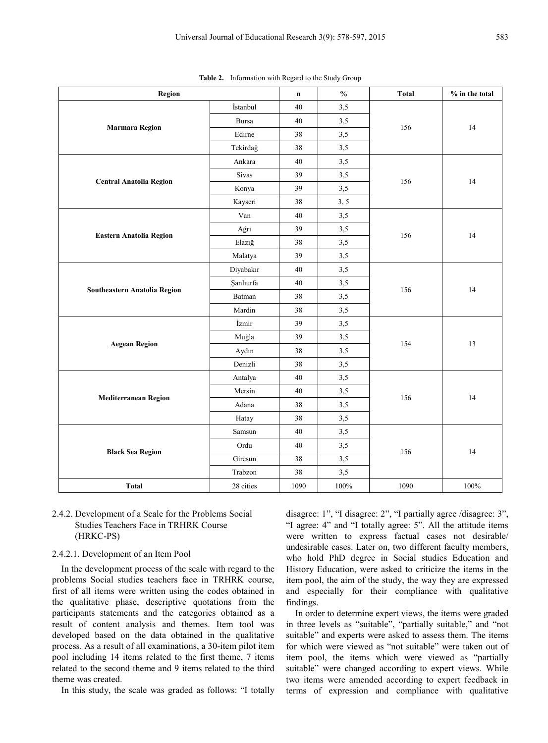| <b>Region</b>                  |              | $\mathbf n$ | $\frac{0}{0}$ | <b>Total</b> | % in the total |  |
|--------------------------------|--------------|-------------|---------------|--------------|----------------|--|
|                                | İstanbul     | 40          | 3,5           |              |                |  |
| <b>Marmara Region</b>          | <b>Bursa</b> | 40          | 3,5           | 156          | 14             |  |
|                                | Edirne       | 38          | 3,5           |              |                |  |
|                                | Tekirdağ     | 38          | 3,5           |              |                |  |
|                                | Ankara       | 40          | 3,5           |              |                |  |
|                                | Sivas        | 39          | 3,5           | 156          | 14             |  |
| <b>Central Anatolia Region</b> | Konya        | 39          | 3,5           |              |                |  |
|                                | Kayseri      | 38          | 3, 5          |              |                |  |
|                                | Van          | 40          | 3,5           |              |                |  |
|                                | Ağrı         | 39          | 3,5           | 156          | 14             |  |
| <b>Eastern Anatolia Region</b> | Elazığ       | 38          | 3,5           |              |                |  |
|                                | Malatya      | 39          | 3,5           |              |                |  |
|                                | Diyabakır    | 40          | 3,5           |              |                |  |
| Southeastern Anatolia Region   | Şanlıurfa    | 40          | 3,5           | 156          | 14             |  |
|                                | Batman       | 38          | 3,5           |              |                |  |
|                                | Mardin       | 38          | 3,5           |              |                |  |
|                                | İzmir        | 39          | 3,5           |              |                |  |
|                                | Muğla        | 39          | 3,5           | 154          | 13             |  |
| <b>Aegean Region</b>           | Aydın        | 38          | 3,5           |              |                |  |
|                                | Denizli      | 38          | 3,5           |              |                |  |
|                                | Antalya      | 40          | 3,5           |              |                |  |
|                                | Mersin       | 40          | 3,5           | 156          | 14             |  |
| <b>Mediterranean Region</b>    | Adana        | 38          | 3,5           |              |                |  |
|                                | Hatay        | 38          | 3,5           |              |                |  |
|                                | Samsun       | 40          | 3,5           |              |                |  |
| <b>Black Sea Region</b>        | Ordu         | 40          | 3,5           | 156          | 14             |  |
|                                | Giresun      | 38          | 3,5           |              |                |  |
|                                | Trabzon      | 38          | 3,5           |              |                |  |
| <b>Total</b>                   | 28 cities    | 1090        | $100\%$       | 1090         | 100%           |  |

**Table 2.** Information with Regard to the Study Group

# 2.4.2. Development of a Scale for the Problems Social Studies Teachers Face in TRHRK Course (HRKC-PS)

# 2.4.2.1. Development of an Item Pool

In the development process of the scale with regard to the problems Social studies teachers face in TRHRK course, first of all items were written using the codes obtained in the qualitative phase, descriptive quotations from the participants statements and the categories obtained as a result of content analysis and themes. Item tool was developed based on the data obtained in the qualitative process. As a result of all examinations, a 30-item pilot item pool including 14 items related to the first theme, 7 items related to the second theme and 9 items related to the third theme was created.

In this study, the scale was graded as follows: "I totally

disagree: 1", "I disagree: 2", "I partially agree /disagree: 3", "I agree: 4" and "I totally agree: 5". All the attitude items were written to express factual cases not desirable/ undesirable cases. Later on, two different faculty members, who hold PhD degree in Social studies Education and History Education, were asked to criticize the items in the item pool, the aim of the study, the way they are expressed and especially for their compliance with qualitative findings.

In order to determine expert views, the items were graded in three levels as "suitable", "partially suitable," and "not suitable" and experts were asked to assess them. The items for which were viewed as "not suitable" were taken out of item pool, the items which were viewed as "partially suitable" were changed according to expert views. While two items were amended according to expert feedback in terms of expression and compliance with qualitative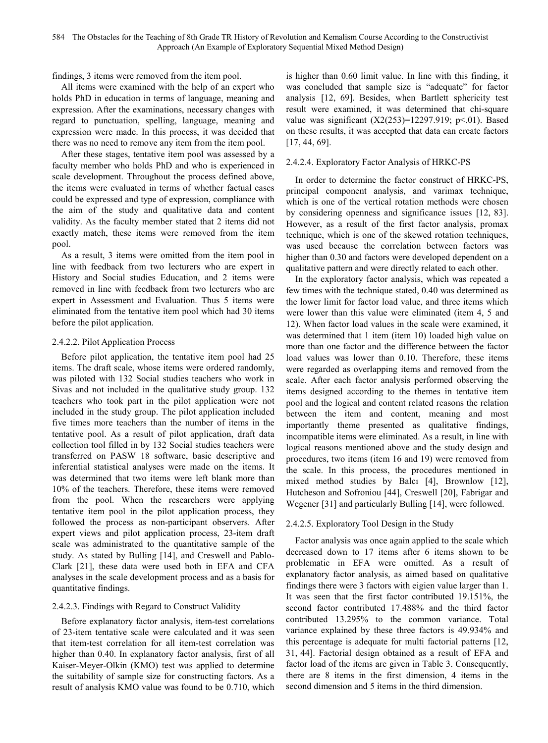findings, 3 items were removed from the item pool.

All items were examined with the help of an expert who holds PhD in education in terms of language, meaning and expression. After the examinations, necessary changes with regard to punctuation, spelling, language, meaning and expression were made. In this process, it was decided that there was no need to remove any item from the item pool.

After these stages, tentative item pool was assessed by a faculty member who holds PhD and who is experienced in scale development. Throughout the process defined above, the items were evaluated in terms of whether factual cases could be expressed and type of expression, compliance with the aim of the study and qualitative data and content validity. As the faculty member stated that 2 items did not exactly match, these items were removed from the item pool.

As a result, 3 items were omitted from the item pool in line with feedback from two lecturers who are expert in History and Social studies Education, and 2 items were removed in line with feedback from two lecturers who are expert in Assessment and Evaluation. Thus 5 items were eliminated from the tentative item pool which had 30 items before the pilot application.

#### 2.4.2.2. Pilot Application Process

Before pilot application, the tentative item pool had 25 items. The draft scale, whose items were ordered randomly, was piloted with 132 Social studies teachers who work in Sivas and not included in the qualitative study group. 132 teachers who took part in the pilot application were not included in the study group. The pilot application included five times more teachers than the number of items in the tentative pool. As a result of pilot application, draft data collection tool filled in by 132 Social studies teachers were transferred on PASW 18 software, basic descriptive and inferential statistical analyses were made on the items. It was determined that two items were left blank more than 10% of the teachers. Therefore, these items were removed from the pool. When the researchers were applying tentative item pool in the pilot application process, they followed the process as non-participant observers. After expert views and pilot application process, 23-item draft scale was administrated to the quantitative sample of the study. As stated by Bulling [14], and Creswell and Pablo-Clark [21], these data were used both in EFA and CFA analyses in the scale development process and as a basis for quantitative findings.

# 2.4.2.3. Findings with Regard to Construct Validity

Before explanatory factor analysis, item-test correlations of 23-item tentative scale were calculated and it was seen that item-test correlation for all item-test correlation was higher than 0.40. In explanatory factor analysis, first of all Kaiser-Meyer-Olkin (KMO) test was applied to determine the suitability of sample size for constructing factors. As a result of analysis KMO value was found to be 0.710, which

is higher than 0.60 limit value. In line with this finding, it was concluded that sample size is "adequate" for factor analysis [12, 69]. Besides, when Bartlett sphericity test result were examined, it was determined that chi-square value was significant  $(X2(253)=12297.919; p<.01)$ . Based on these results, it was accepted that data can create factors [17, 44, 69].

## 2.4.2.4. Exploratory Factor Analysis of HRKC-PS

In order to determine the factor construct of HRKC-PS, principal component analysis, and varimax technique, which is one of the vertical rotation methods were chosen by considering openness and significance issues [12, 83]. However, as a result of the first factor analysis, promax technique, which is one of the skewed rotation techniques, was used because the correlation between factors was higher than  $0.30$  and factors were developed dependent on a qualitative pattern and were directly related to each other.

In the exploratory factor analysis, which was repeated a few times with the technique stated, 0.40 was determined as the lower limit for factor load value, and three items which were lower than this value were eliminated (item 4, 5 and 12). When factor load values in the scale were examined, it was determined that 1 item (item 10) loaded high value on more than one factor and the difference between the factor load values was lower than 0.10. Therefore, these items were regarded as overlapping items and removed from the scale. After each factor analysis performed observing the items designed according to the themes in tentative item pool and the logical and content related reasons the relation between the item and content, meaning and most importantly theme presented as qualitative findings, incompatible items were eliminated. As a result, in line with logical reasons mentioned above and the study design and procedures, two items (item 16 and 19) were removed from the scale. In this process, the procedures mentioned in mixed method studies by Balcı [4], Brownlow [12], Hutcheson and Sofroniou [44], Creswell [20], Fabrigar and Wegener [31] and particularly Bulling [14], were followed.

#### 2.4.2.5. Exploratory Tool Design in the Study

Factor analysis was once again applied to the scale which decreased down to 17 items after 6 items shown to be problematic in EFA were omitted. As a result of explanatory factor analysis, as aimed based on qualitative findings there were 3 factors with eigien value larger than 1. It was seen that the first factor contributed 19.151%, the second factor contributed 17.488% and the third factor contributed 13.295% to the common variance. Total variance explained by these three factors is 49.934% and this percentage is adequate for multi factorial patterns [12, 31, 44]. Factorial design obtained as a result of EFA and factor load of the items are given in Table 3. Consequently, there are 8 items in the first dimension, 4 items in the second dimension and 5 items in the third dimension.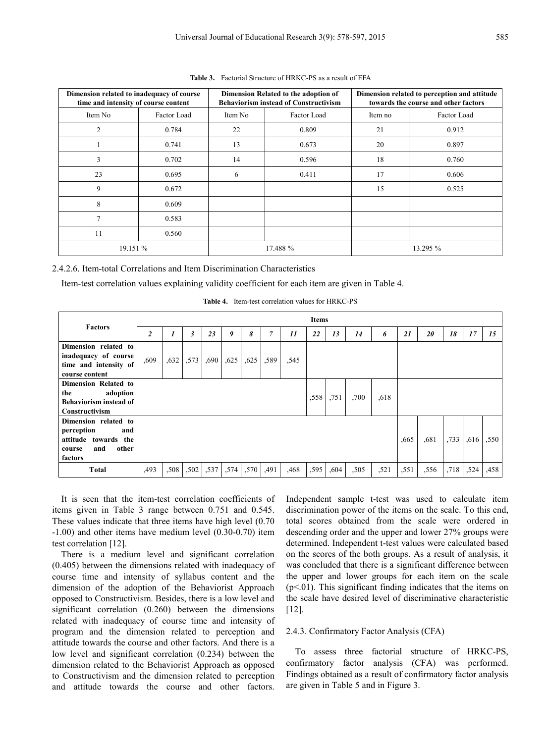| Dimension related to inadequacy of course<br>time and intensity of course content |             |         | Dimension Related to the adoption of<br><b>Behaviorism instead of Constructivism</b> | Dimension related to perception and attitude<br>towards the course and other factors |             |  |  |  |  |
|-----------------------------------------------------------------------------------|-------------|---------|--------------------------------------------------------------------------------------|--------------------------------------------------------------------------------------|-------------|--|--|--|--|
| Item No                                                                           | Factor Load | Item No | Factor Load                                                                          | Item no                                                                              | Factor Load |  |  |  |  |
| 2                                                                                 | 0.784       | 22      | 0.809                                                                                | 21                                                                                   | 0.912       |  |  |  |  |
|                                                                                   | 0.741       | 13      | 0.673                                                                                | 20                                                                                   | 0.897       |  |  |  |  |
| 3                                                                                 | 0.702       | 14      | 0.596                                                                                | 18                                                                                   | 0.760       |  |  |  |  |
| 23                                                                                | 0.695       | 6       | 0.411                                                                                | 17                                                                                   | 0.606       |  |  |  |  |
| 9                                                                                 | 0.672       |         |                                                                                      | 15                                                                                   | 0.525       |  |  |  |  |
| 8                                                                                 | 0.609       |         |                                                                                      |                                                                                      |             |  |  |  |  |
| 7                                                                                 | 0.583       |         |                                                                                      |                                                                                      |             |  |  |  |  |
| 11                                                                                | 0.560       |         |                                                                                      |                                                                                      |             |  |  |  |  |
| 19.151 %                                                                          |             |         | 17.488 %                                                                             |                                                                                      | 13.295 %    |  |  |  |  |

**Table 3.** Factorial Structure of HRKC-PS as a result of EFA

2.4.2.6. Item-total Correlations and Item Discrimination Characteristics

Item-test correlation values explaining validity coefficient for each item are given in Table 4.

| <b>Factors</b>                                                                                         |                         |      |                |      |      |      |      |      | <b>Items</b> |      |      |      |      |      |      |      |      |
|--------------------------------------------------------------------------------------------------------|-------------------------|------|----------------|------|------|------|------|------|--------------|------|------|------|------|------|------|------|------|
|                                                                                                        | $\overline{\mathbf{2}}$ |      | $\mathfrak{z}$ | 23   | 9    | 8    | 7    | 11   | 22           | 13   | 14   | 6    | 21   | 20   | 18   | 17   | 15   |
| Dimension related to<br>inadequacy of course<br>time and intensity of<br>course content                | ,609                    | ,632 | ,573           | ,690 | ,625 | ,625 | ,589 | ,545 |              |      |      |      |      |      |      |      |      |
| <b>Dimension Related to</b><br>adoption<br>the<br><b>Behaviorism instead of</b><br>Constructivism      |                         |      |                |      |      |      |      |      | ,558         | .751 | ,700 | ,618 |      |      |      |      |      |
| Dimension related to<br>perception<br>and<br>attitude towards the<br>other<br>and<br>course<br>factors |                         |      |                |      |      |      |      |      |              |      |      |      | ,665 | ,681 | .733 | .616 | ,550 |
| <b>Total</b>                                                                                           | ,493                    | .508 | ,502           | ,537 | ,574 | ,570 | ,491 | ,468 | ,595         | ,604 | ,505 | ,521 | ,551 | ,556 | ,718 | ,524 | ,458 |

**Table 4.** Item-test correlation values for HRKC-PS

It is seen that the item-test correlation coefficients of items given in Table 3 range between 0.751 and 0.545. These values indicate that three items have high level (0.70 -1.00) and other items have medium level (0.30-0.70) item test correlation [12].

There is a medium level and significant correlation (0.405) between the dimensions related with inadequacy of course time and intensity of syllabus content and the dimension of the adoption of the Behaviorist Approach opposed to Constructivism. Besides, there is a low level and significant correlation (0.260) between the dimensions related with inadequacy of course time and intensity of program and the dimension related to perception and attitude towards the course and other factors. And there is a low level and significant correlation (0.234) between the dimension related to the Behaviorist Approach as opposed to Constructivism and the dimension related to perception and attitude towards the course and other factors.

Independent sample t-test was used to calculate item discrimination power of the items on the scale. To this end, total scores obtained from the scale were ordered in descending order and the upper and lower 27% groups were determined. Independent t-test values were calculated based on the scores of the both groups. As a result of analysis, it was concluded that there is a significant difference between the upper and lower groups for each item on the scale  $(p<01)$ . This significant finding indicates that the items on the scale have desired level of discriminative characteristic [12].

# 2.4.3. Confirmatory Factor Analysis (CFA)

To assess three factorial structure of HRKC-PS, confirmatory factor analysis (CFA) was performed. Findings obtained as a result of confirmatory factor analysis are given in Table 5 and in Figure 3.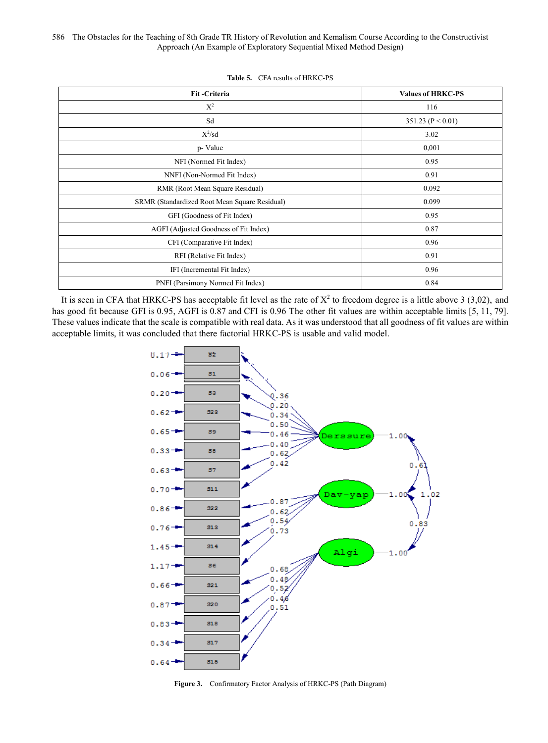| Fit-Criteria                                  | <b>Values of HRKC-PS</b> |
|-----------------------------------------------|--------------------------|
| $X^2$                                         | 116                      |
| Sd                                            | 351.23 ( $P < 0.01$ )    |
| $X^2$ /sd                                     | 3.02                     |
| p- Value                                      | 0,001                    |
| NFI (Normed Fit Index)                        | 0.95                     |
| NNFI (Non-Normed Fit Index)                   | 0.91                     |
| RMR (Root Mean Square Residual)               | 0.092                    |
| SRMR (Standardized Root Mean Square Residual) | 0.099                    |
| GFI (Goodness of Fit Index)                   | 0.95                     |
| AGFI (Adjusted Goodness of Fit Index)         | 0.87                     |
| CFI (Comparative Fit Index)                   | 0.96                     |
| RFI (Relative Fit Index)                      | 0.91                     |
| IFI (Incremental Fit Index)                   | 0.96                     |
| PNFI (Parsimony Normed Fit Index)             | 0.84                     |

**Table 5.** CFA results of HRKC-PS

It is seen in CFA that HRKC-PS has acceptable fit level as the rate of  $X^2$  to freedom degree is a little above 3 (3,02), and has good fit because GFI is 0.95, AGFI is 0.87 and CFI is 0.96 The other fit values are within acceptable limits [5, 11, 79]. These values indicate that the scale is compatible with real data. As it was understood that all goodness of fit values are within acceptable limits, it was concluded that there factorial HRKC-PS is usable and valid model.



**Figure 3.** Confirmatory Factor Analysis of HRKC-PS (Path Diagram)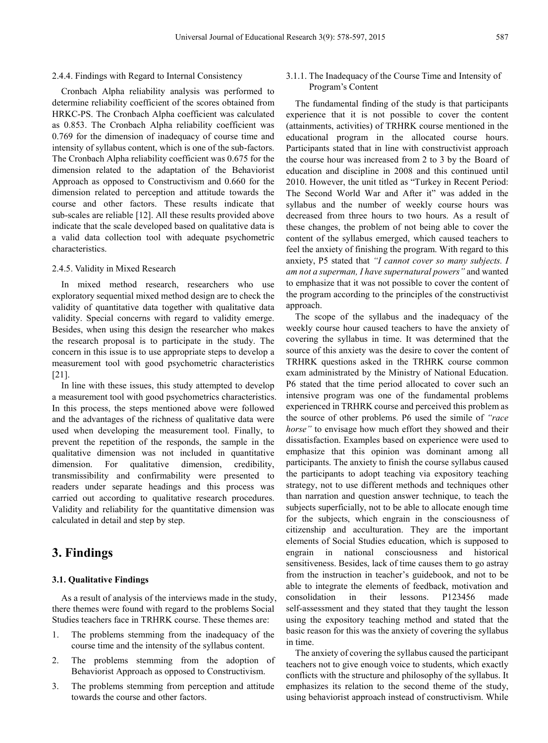#### 2.4.4. Findings with Regard to Internal Consistency

Cronbach Alpha reliability analysis was performed to determine reliability coefficient of the scores obtained from HRKC-PS. The Cronbach Alpha coefficient was calculated as 0.853. The Cronbach Alpha reliability coefficient was 0.769 for the dimension of inadequacy of course time and intensity of syllabus content, which is one of the sub-factors. The Cronbach Alpha reliability coefficient was 0.675 for the dimension related to the adaptation of the Behaviorist Approach as opposed to Constructivism and 0.660 for the dimension related to perception and attitude towards the course and other factors. These results indicate that sub-scales are reliable [12]. All these results provided above indicate that the scale developed based on qualitative data is a valid data collection tool with adequate psychometric characteristics.

#### 2.4.5. Validity in Mixed Research

In mixed method research, researchers who use exploratory sequential mixed method design are to check the validity of quantitative data together with qualitative data validity. Special concerns with regard to validity emerge. Besides, when using this design the researcher who makes the research proposal is to participate in the study. The concern in this issue is to use appropriate steps to develop a measurement tool with good psychometric characteristics [21].

In line with these issues, this study attempted to develop a measurement tool with good psychometrics characteristics. In this process, the steps mentioned above were followed and the advantages of the richness of qualitative data were used when developing the measurement tool. Finally, to prevent the repetition of the responds, the sample in the qualitative dimension was not included in quantitative dimension. For qualitative dimension, credibility, transmissibility and confirmability were presented to readers under separate headings and this process was carried out according to qualitative research procedures. Validity and reliability for the quantitative dimension was calculated in detail and step by step.

# **3. Findings**

## **3.1. Qualitative Findings**

As a result of analysis of the interviews made in the study, there themes were found with regard to the problems Social Studies teachers face in TRHRK course. These themes are:

- 1. The problems stemming from the inadequacy of the course time and the intensity of the syllabus content.
- 2. The problems stemming from the adoption of Behaviorist Approach as opposed to Constructivism.
- 3. The problems stemming from perception and attitude towards the course and other factors.

# 3.1.1. The Inadequacy of the Course Time and Intensity of Program's Content

The fundamental finding of the study is that participants experience that it is not possible to cover the content (attainments, activities) of TRHRK course mentioned in the educational program in the allocated course hours. Participants stated that in line with constructivist approach the course hour was increased from 2 to 3 by the Board of education and discipline in 2008 and this continued until 2010. However, the unit titled as "Turkey in Recent Period: The Second World War and After it" was added in the syllabus and the number of weekly course hours was decreased from three hours to two hours. As a result of these changes, the problem of not being able to cover the content of the syllabus emerged, which caused teachers to feel the anxiety of finishing the program. With regard to this anxiety, P5 stated that *"I cannot cover so many subjects. I am not a superman, I have supernatural powers"* and wanted to emphasize that it was not possible to cover the content of the program according to the principles of the constructivist approach.

The scope of the syllabus and the inadequacy of the weekly course hour caused teachers to have the anxiety of covering the syllabus in time. It was determined that the source of this anxiety was the desire to cover the content of TRHRK questions asked in the TRHRK course common exam administrated by the Ministry of National Education. P6 stated that the time period allocated to cover such an intensive program was one of the fundamental problems experienced in TRHRK course and perceived this problem as the source of other problems. P6 used the simile of *"race horse"* to envisage how much effort they showed and their dissatisfaction. Examples based on experience were used to emphasize that this opinion was dominant among all participants. The anxiety to finish the course syllabus caused the participants to adopt teaching via expository teaching strategy, not to use different methods and techniques other than narration and question answer technique, to teach the subjects superficially, not to be able to allocate enough time for the subjects, which engrain in the consciousness of citizenship and acculturation. They are the important elements of Social Studies education, which is supposed to engrain in national consciousness and historical sensitiveness. Besides, lack of time causes them to go astray from the instruction in teacher's guidebook, and not to be able to integrate the elements of feedback, motivation and consolidation in their lessons. P123456 made self-assessment and they stated that they taught the lesson using the expository teaching method and stated that the basic reason for this was the anxiety of covering the syllabus in time.

The anxiety of covering the syllabus caused the participant teachers not to give enough voice to students, which exactly conflicts with the structure and philosophy of the syllabus. It emphasizes its relation to the second theme of the study, using behaviorist approach instead of constructivism. While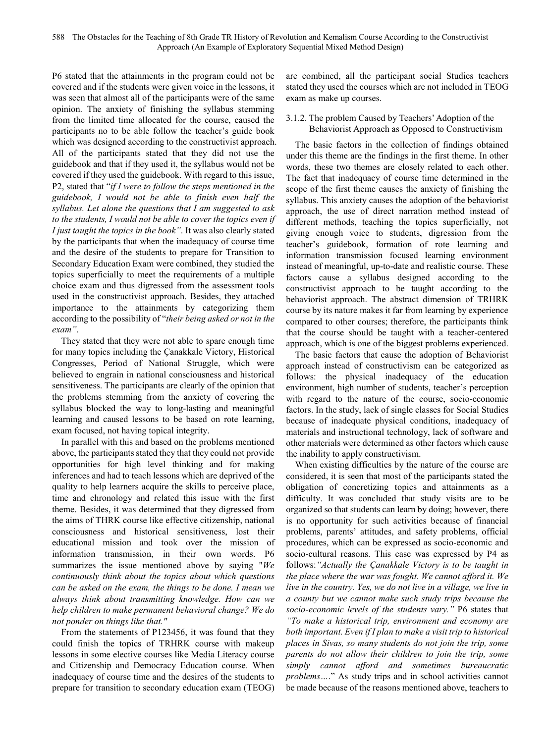P6 stated that the attainments in the program could not be covered and if the students were given voice in the lessons, it was seen that almost all of the participants were of the same opinion. The anxiety of finishing the syllabus stemming from the limited time allocated for the course, caused the participants no to be able follow the teacher's guide book which was designed according to the constructivist approach. All of the participants stated that they did not use the guidebook and that if they used it, the syllabus would not be covered if they used the guidebook. With regard to this issue, P2, stated that "*if I were to follow the steps mentioned in the guidebook, I would not be able to finish even half the syllabus. Let alone the questions that I am suggested to ask to the students, I would not be able to cover the topics even if I just taught the topics in the book"*. It was also clearly stated by the participants that when the inadequacy of course time and the desire of the students to prepare for Transition to Secondary Education Exam were combined, they studied the topics superficially to meet the requirements of a multiple choice exam and thus digressed from the assessment tools used in the constructivist approach. Besides, they attached importance to the attainments by categorizing them according to the possibility of "*their being asked or not in the exam"*.

They stated that they were not able to spare enough time for many topics including the Çanakkale Victory, Historical Congresses, Period of National Struggle, which were believed to engrain in national consciousness and historical sensitiveness. The participants are clearly of the opinion that the problems stemming from the anxiety of covering the syllabus blocked the way to long-lasting and meaningful learning and caused lessons to be based on rote learning, exam focused, not having topical integrity.

In parallel with this and based on the problems mentioned above, the participants stated they that they could not provide opportunities for high level thinking and for making inferences and had to teach lessons which are deprived of the quality to help learners acquire the skills to perceive place, time and chronology and related this issue with the first theme. Besides, it was determined that they digressed from the aims of THRK course like effective citizenship, national consciousness and historical sensitiveness, lost their educational mission and took over the mission of information transmission, in their own words. P6 summarizes the issue mentioned above by saying "*We continuously think about the topics about which questions can be asked on the exam, the things to be done. I mean we always think about transmitting knowledge. How can we help children to make permanent behavioral change? We do not ponder on things like that."*

From the statements of P123456, it was found that they could finish the topics of TRHRK course with makeup lessons in some elective courses like Media Literacy course and Citizenship and Democracy Education course. When inadequacy of course time and the desires of the students to prepare for transition to secondary education exam (TEOG)

are combined, all the participant social Studies teachers stated they used the courses which are not included in TEOG exam as make up courses.

# 3.1.2. The problem Caused by Teachers' Adoption of the Behaviorist Approach as Opposed to Constructivism

The basic factors in the collection of findings obtained under this theme are the findings in the first theme. In other words, these two themes are closely related to each other. The fact that inadequacy of course time determined in the scope of the first theme causes the anxiety of finishing the syllabus. This anxiety causes the adoption of the behaviorist approach, the use of direct narration method instead of different methods, teaching the topics superficially, not giving enough voice to students, digression from the teacher's guidebook, formation of rote learning and information transmission focused learning environment instead of meaningful, up-to-date and realistic course. These factors cause a syllabus designed according to the constructivist approach to be taught according to the behaviorist approach. The abstract dimension of TRHRK course by its nature makes it far from learning by experience compared to other courses; therefore, the participants think that the course should be taught with a teacher-centered approach, which is one of the biggest problems experienced.

The basic factors that cause the adoption of Behaviorist approach instead of constructivism can be categorized as follows: the physical inadequacy of the education environment, high number of students, teacher's perception with regard to the nature of the course, socio-economic factors. In the study, lack of single classes for Social Studies because of inadequate physical conditions, inadequacy of materials and instructional technology, lack of software and other materials were determined as other factors which cause the inability to apply constructivism.

When existing difficulties by the nature of the course are considered, it is seen that most of the participants stated the obligation of concretizing topics and attainments as a difficulty. It was concluded that study visits are to be organized so that students can learn by doing; however, there is no opportunity for such activities because of financial problems, parents' attitudes, and safety problems, official procedures, which can be expressed as socio-economic and socio-cultural reasons. This case was expressed by P4 as follows:*"Actually the Çanakkale Victory is to be taught in the place where the war was fought. We cannot afford it. We live in the country. Yes, we do not live in a village, we live in a county but we cannot make such study trips because the socio-economic levels of the students vary."* P6 states that *"To make a historical trip, environment and economy are both important. Even if I plan to make a visit trip to historical places in Sivas, so many students do not join the trip, some parents do not allow their children to join the trip, some simply cannot afford and sometimes bureaucratic problems…*." As study trips and in school activities cannot be made because of the reasons mentioned above, teachers to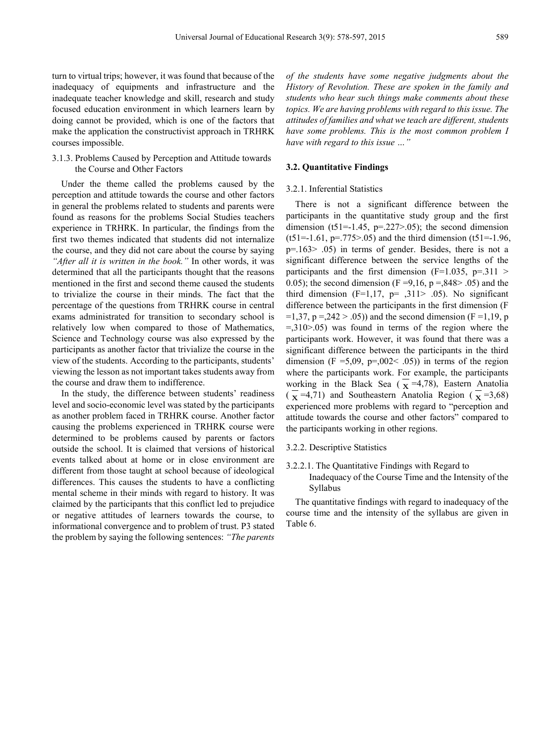turn to virtual trips; however, it was found that because of the inadequacy of equipments and infrastructure and the inadequate teacher knowledge and skill, research and study focused education environment in which learners learn by doing cannot be provided, which is one of the factors that make the application the constructivist approach in TRHRK courses impossible.

# 3.1.3. Problems Caused by Perception and Attitude towards the Course and Other Factors

Under the theme called the problems caused by the perception and attitude towards the course and other factors in general the problems related to students and parents were found as reasons for the problems Social Studies teachers experience in TRHRK. In particular, the findings from the first two themes indicated that students did not internalize the course, and they did not care about the course by saying *"After all it is written in the book."* In other words, it was determined that all the participants thought that the reasons mentioned in the first and second theme caused the students to trivialize the course in their minds. The fact that the percentage of the questions from TRHRK course in central exams administrated for transition to secondary school is relatively low when compared to those of Mathematics, Science and Technology course was also expressed by the participants as another factor that trivialize the course in the view of the students. According to the participants, students' viewing the lesson as not important takes students away from the course and draw them to indifference.

In the study, the difference between students' readiness level and socio-economic level was stated by the participants as another problem faced in TRHRK course. Another factor causing the problems experienced in TRHRK course were determined to be problems caused by parents or factors outside the school. It is claimed that versions of historical events talked about at home or in close environment are different from those taught at school because of ideological differences. This causes the students to have a conflicting mental scheme in their minds with regard to history. It was claimed by the participants that this conflict led to prejudice or negative attitudes of learners towards the course, to informational convergence and to problem of trust. P3 stated the problem by saying the following sentences: *"The parents* 

*of the students have some negative judgments about the History of Revolution. These are spoken in the family and students who hear such things make comments about these topics. We are having problems with regard to this issue. The attitudes of families and what we teach are different, students have some problems. This is the most common problem I have with regard to this issue …"*

#### **3.2. Quantitative Findings**

#### 3.2.1. Inferential Statistics

There is not a significant difference between the participants in the quantitative study group and the first dimension (t51= $-1.45$ , p= $.227$  $> 0.05$ ); the second dimension  $(t51=1.61, p=.775>0.05)$  and the third dimension  $(t51=1.96,$ p=.163> .05) in terms of gender. Besides, there is not a significant difference between the service lengths of the participants and the first dimension ( $F=1.035$ ,  $p=.311$ ) 0.05); the second dimension (F = 9, 16,  $p = 0.848 > 0.05$ ) and the third dimension  $(F=1,17, p= .311> .05)$ . No significant difference between the participants in the first dimension (F  $=1,37, p = 0.242 > 0.05$ ) and the second dimension (F = 1,19, p  $=310$   $> 05$ ) was found in terms of the region where the participants work. However, it was found that there was a significant difference between the participants in the third dimension (F = 5,09, p=,002 < .05)) in terms of the region where the participants work. For example, the participants working in the Black Sea ( $\overline{x}$  =4,78), Eastern Anatolia  $(\overline{\mathbf{x}} = 4.71)$  and Southeastern Anatolia Region  $(\overline{\mathbf{x}} = 3.68)$ experienced more problems with regard to "perception and attitude towards the course and other factors" compared to the participants working in other regions.

#### 3.2.2. Descriptive Statistics

3.2.2.1. The Quantitative Findings with Regard to Inadequacy of the Course Time and the Intensity of the Syllabus

The quantitative findings with regard to inadequacy of the course time and the intensity of the syllabus are given in Table 6.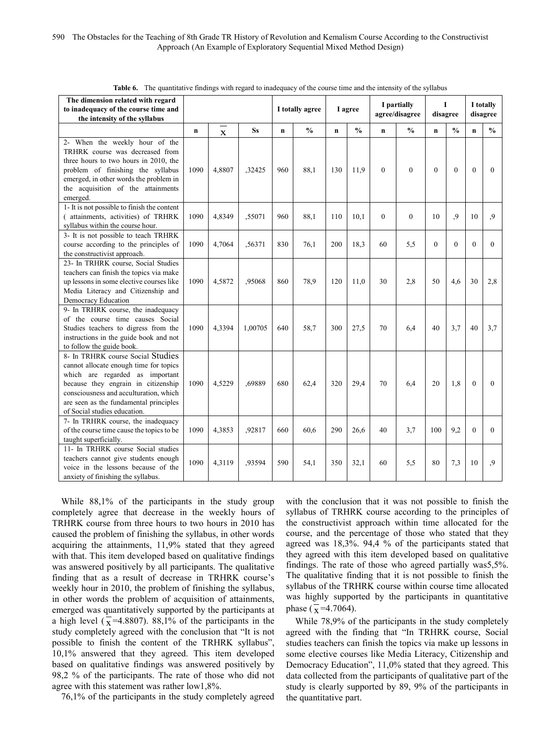| The dimension related with regard<br>to inadequacy of the course time and<br>the intensity of the syllabus                                                                                                                                                                |             |             |           |             | I totally agree |              | I agree       | I partially<br>agree/disagree |               | L<br>disagree |               |              | I totally<br>disagree |
|---------------------------------------------------------------------------------------------------------------------------------------------------------------------------------------------------------------------------------------------------------------------------|-------------|-------------|-----------|-------------|-----------------|--------------|---------------|-------------------------------|---------------|---------------|---------------|--------------|-----------------------|
|                                                                                                                                                                                                                                                                           | $\mathbf n$ | $\mathbf X$ | <b>Ss</b> | $\mathbf n$ | $\frac{0}{0}$   | $\mathbf{n}$ | $\frac{0}{0}$ | $\mathbf n$                   | $\frac{0}{0}$ | $\mathbf n$   | $\frac{0}{0}$ | $\mathbf{n}$ | $\frac{0}{0}$         |
| 2- When the weekly hour of the<br>TRHRK course was decreased from<br>three hours to two hours in 2010, the<br>problem of finishing the syllabus<br>emerged, in other words the problem in<br>the acquisition of the attainments<br>emerged.                               | 1090        | 4,8807      | ,32425    | 960         | 88,1            | 130          | 11,9          | $\theta$                      | $\theta$      | $\theta$      | $\theta$      | $\mathbf{0}$ | $\theta$              |
| 1- It is not possible to finish the content<br>(attainments, activities) of TRHRK<br>syllabus within the course hour.                                                                                                                                                     | 1090        | 4,8349      | ,55071    | 960         | 88,1            | 110          | 10,1          | $\mathbf{0}$                  | $\theta$      | 10            | 9             | 10           | 9                     |
| 3- It is not possible to teach TRHRK<br>course according to the principles of<br>the constructivist approach.                                                                                                                                                             | 1090        | 4.7064      | .56371    | 830         | 76,1            | 200          | 18,3          | 60                            | 5,5           | $\Omega$      | $\Omega$      | $\Omega$     | $\Omega$              |
| 23- In TRHRK course, Social Studies<br>teachers can finish the topics via make<br>up lessons in some elective courses like<br>Media Literacy and Citizenship and<br>Democracy Education                                                                                   | 1090        | 4,5872      | ,95068    | 860         | 78,9            | 120          | 11,0          | 30                            | 2,8           | 50            | 4,6           | 30           | 2,8                   |
| 9- In TRHRK course, the inadequacy<br>of the course time causes Social<br>Studies teachers to digress from the<br>instructions in the guide book and not<br>to follow the guide book.                                                                                     | 1090        | 4.3394      | 1,00705   | 640         | 58,7            | 300          | 27,5          | 70                            | 6.4           | 40            | 3.7           | 40           | 3.7                   |
| 8- In TRHRK course Social Studies<br>cannot allocate enough time for topics<br>which are regarded as important<br>because they engrain in citizenship<br>consciousness and acculturation, which<br>are seen as the fundamental principles<br>of Social studies education. | 1090        | 4,5229      | ,69889    | 680         | 62,4            | 320          | 29,4          | 70                            | 6,4           | 20            | 1,8           | $\mathbf{0}$ | $\Omega$              |
| 7- In TRHRK course, the inadequacy<br>of the course time cause the topics to be<br>taught superficially.                                                                                                                                                                  | 1090        | 4,3853      | .92817    | 660         | 60,6            | 290          | 26,6          | 40                            | 3.7           | 100           | 9,2           | $\theta$     | $\theta$              |
| 11- In TRHRK course Social studies<br>teachers cannot give students enough<br>voice in the lessons because of the<br>anxiety of finishing the syllabus.                                                                                                                   | 1090        | 4.3119      | .93594    | 590         | 54,1            | 350          | 32.1          | 60                            | 5,5           | 80            | 7,3           | 10           | .9                    |

**Table 6.** The quantitative findings with regard to inadequacy of the course time and the intensity of the syllabus

While 88,1% of the participants in the study group completely agree that decrease in the weekly hours of TRHRK course from three hours to two hours in 2010 has caused the problem of finishing the syllabus, in other words acquiring the attainments, 11,9% stated that they agreed with that. This item developed based on qualitative findings was answered positively by all participants. The qualitative finding that as a result of decrease in TRHRK course's weekly hour in 2010, the problem of finishing the syllabus, in other words the problem of acquisition of attainments, emerged was quantitatively supported by the participants at a high level ( $\bar{x}$ =4.8807). 88,1% of the participants in the study completely agreed with the conclusion that "It is not possible to finish the content of the TRHRK syllabus", 10,1% answered that they agreed. This item developed based on qualitative findings was answered positively by 98,2 % of the participants. The rate of those who did not agree with this statement was rather low1,8%.

76,1% of the participants in the study completely agreed

with the conclusion that it was not possible to finish the syllabus of TRHRK course according to the principles of the constructivist approach within time allocated for the course, and the percentage of those who stated that they agreed was 18,3%. 94,4 % of the participants stated that they agreed with this item developed based on qualitative findings. The rate of those who agreed partially was5,5%. The qualitative finding that it is not possible to finish the syllabus of the TRHRK course within course time allocated was highly supported by the participants in quantitative phase ( $\bar{x}$ =4.7064).

While 78,9% of the participants in the study completely agreed with the finding that "In TRHRK course, Social studies teachers can finish the topics via make up lessons in some elective courses like Media Literacy, Citizenship and Democracy Education", 11,0% stated that they agreed. This data collected from the participants of qualitative part of the study is clearly supported by 89, 9% of the participants in the quantitative part.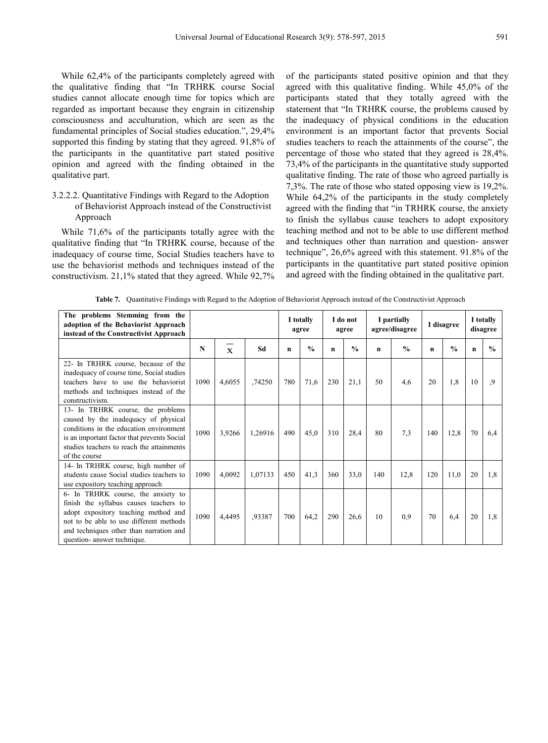While 62,4% of the participants completely agreed with the qualitative finding that "In TRHRK course Social studies cannot allocate enough time for topics which are regarded as important because they engrain in citizenship consciousness and acculturation, which are seen as the fundamental principles of Social studies education.", 29,4% supported this finding by stating that they agreed. 91,8% of the participants in the quantitative part stated positive opinion and agreed with the finding obtained in the qualitative part.

# 3.2.2.2. Quantitative Findings with Regard to the Adoption of Behaviorist Approach instead of the Constructivist Approach

While 71,6% of the participants totally agree with the qualitative finding that "In TRHRK course, because of the inadequacy of course time, Social Studies teachers have to use the behaviorist methods and techniques instead of the constructivism. 21,1% stated that they agreed. While 92,7%

of the participants stated positive opinion and that they agreed with this qualitative finding. While 45,0% of the participants stated that they totally agreed with the statement that "In TRHRK course, the problems caused by the inadequacy of physical conditions in the education environment is an important factor that prevents Social studies teachers to reach the attainments of the course", the percentage of those who stated that they agreed is 28,4%. 73,4% of the participants in the quantitative study supported qualitative finding. The rate of those who agreed partially is 7,3%. The rate of those who stated opposing view is 19,2%. While 64,2% of the participants in the study completely agreed with the finding that "in TRHRK course, the anxiety to finish the syllabus cause teachers to adopt expository teaching method and not to be able to use different method and techniques other than narration and question- answer technique", 26,6% agreed with this statement. 91.8% of the participants in the quantitative part stated positive opinion and agreed with the finding obtained in the qualitative part.

| The problems Stemming from the<br>adoption of the Behaviorist Approach<br>instead of the Constructivist Approach                                                                                                                          |      |                    |         |     | I totally<br>agree |             | I do not<br>agree | I partially<br>agree/disagree |               | I disagree  |               |             | I totally<br>disagree |
|-------------------------------------------------------------------------------------------------------------------------------------------------------------------------------------------------------------------------------------------|------|--------------------|---------|-----|--------------------|-------------|-------------------|-------------------------------|---------------|-------------|---------------|-------------|-----------------------|
|                                                                                                                                                                                                                                           | N    | $\bar{\mathbf{x}}$ | Sd      | n   | $\frac{0}{0}$      | $\mathbf n$ | $\frac{0}{0}$     | n                             | $\frac{0}{0}$ | $\mathbf n$ | $\frac{0}{0}$ | $\mathbf n$ | $\frac{0}{0}$         |
| 22- In TRHRK course, because of the<br>inadequacy of course time, Social studies<br>teachers have to use the behaviorist<br>methods and techniques instead of the<br>constructivism.                                                      | 1090 | 4,6055             | ,74250  | 780 | 71,6               | 230         | 21,1              | 50                            | 4,6           | 20          | 1,8           | 10          | .9                    |
| 13- In TRHRK course, the problems<br>caused by the inadequacy of physical<br>conditions in the education environment<br>is an important factor that prevents Social<br>studies teachers to reach the attainments<br>of the course         | 1090 | 3,9266             | 1,26916 | 490 | 45,0               | 310         | 28,4              | 80                            | 7.3           | 140         | 12,8          | 70          | 6,4                   |
| 14- In TRHRK course, high number of<br>students cause Social studies teachers to<br>use expository teaching approach                                                                                                                      | 1090 | 4,0092             | 1,07133 | 450 | 41,3               | 360         | 33,0              | 140                           | 12,8          | 120         | 11,0          | 20          | 1,8                   |
| 6- In TRHRK course, the anxiety to<br>finish the syllabus causes teachers to<br>adopt expository teaching method and<br>not to be able to use different methods<br>and techniques other than narration and<br>question- answer technique. | 1090 | 4,4495             | .93387  | 700 | 64,2               | 290         | 26,6              | 10                            | 0.9           | 70          | 6.4           | 20          | 1.8                   |

**Table 7.** Quantitative Findings with Regard to the Adoption of Behaviorist Approach instead of the Constructivist Approach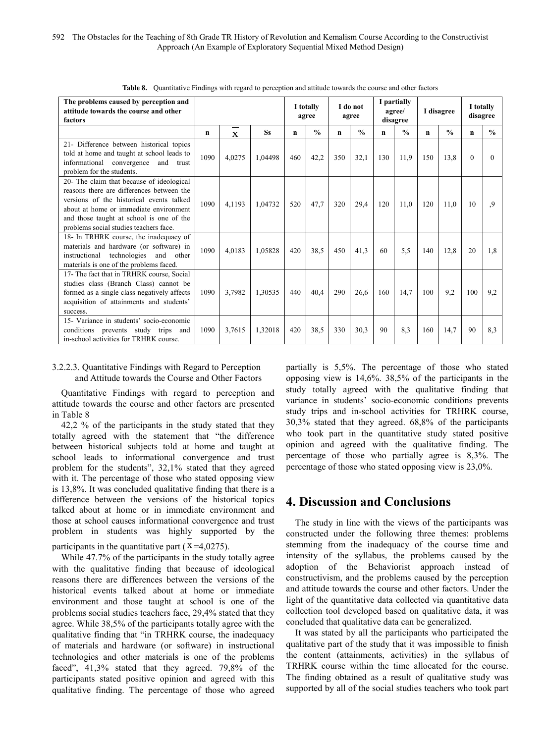| The problems caused by perception and<br>attitude towards the course and other<br>factors                                                                                                                                                                          |      |              |           | I totally<br>agree |               | I do not<br>agree |               | I partially<br>agree/<br>disagree |                    | I disagree  |               | I totally<br>disagree |               |
|--------------------------------------------------------------------------------------------------------------------------------------------------------------------------------------------------------------------------------------------------------------------|------|--------------|-----------|--------------------|---------------|-------------------|---------------|-----------------------------------|--------------------|-------------|---------------|-----------------------|---------------|
|                                                                                                                                                                                                                                                                    | n    | $\mathbf{x}$ | <b>Ss</b> | n                  | $\frac{0}{0}$ | n                 | $\frac{0}{n}$ | $\mathbf n$                       | $\frac{0}{\alpha}$ | $\mathbf n$ | $\frac{0}{0}$ | n                     | $\frac{0}{n}$ |
| 21- Difference between historical topics<br>told at home and taught at school leads to<br>informational convergence<br>and trust<br>problem for the students.                                                                                                      | 1090 | 4,0275       | 1,04498   | 460                | 42,2          | 350               | 32,1          | 130                               | 11,9               | 150         | 13,8          | $\Omega$              | 0             |
| 20- The claim that because of ideological<br>reasons there are differences between the<br>versions of the historical events talked<br>about at home or immediate environment<br>and those taught at school is one of the<br>problems social studies teachers face. | 1090 | 4,1193       | 1,04732   | 520                | 47,7          | 320               | 29,4          | 120                               | 11,0               | 120         | 11.0          | 10                    | 9.            |
| 18- In TRHRK course, the inadequacy of<br>materials and hardware (or software) in<br>instructional<br>technologies<br>and other<br>materials is one of the problems faced.                                                                                         | 1090 | 4,0183       | 1,05828   | 420                | 38.5          | 450               | 41,3          | 60                                | 5.5                | 140         | 12,8          | 20                    | 1.8           |
| 17- The fact that in TRHRK course, Social<br>studies class (Branch Class) cannot be<br>formed as a single class negatively affects<br>acquisition of attainments and students'<br>success.                                                                         | 1090 | 3,7982       | 1,30535   | 440                | 40,4          | 290               | 26,6          | 160                               | 14,7               | 100         | 9.2           | 100                   | 9,2           |
| 15- Variance in students' socio-economic<br>conditions prevents study trips and<br>in-school activities for TRHRK course.                                                                                                                                          | 1090 | 3,7615       | 1,32018   | 420                | 38.5          | 330               | 30,3          | 90                                | 8.3                | 160         | 14.7          | 90                    | 8.3           |

**Table 8.** Quantitative Findings with regard to perception and attitude towards the course and other factors

# 3.2.2.3. Quantitative Findings with Regard to Perception and Attitude towards the Course and Other Factors

Quantitative Findings with regard to perception and attitude towards the course and other factors are presented in Table 8

42,2 % of the participants in the study stated that they totally agreed with the statement that "the difference between historical subjects told at home and taught at school leads to informational convergence and trust problem for the students", 32,1% stated that they agreed with it. The percentage of those who stated opposing view is 13,8%. It was concluded qualitative finding that there is a difference between the versions of the historical topics talked about at home or in immediate environment and those at school causes informational convergence and trust problem in students was highly supported by the participants in the quantitative part ( $x = 4.0275$ ).

While 47.7% of the participants in the study totally agree with the qualitative finding that because of ideological reasons there are differences between the versions of the historical events talked about at home or immediate environment and those taught at school is one of the problems social studies teachers face, 29,4% stated that they agree. While 38,5% of the participants totally agree with the qualitative finding that "in TRHRK course, the inadequacy of materials and hardware (or software) in instructional technologies and other materials is one of the problems faced", 41,3% stated that they agreed. 79,8% of the participants stated positive opinion and agreed with this qualitative finding. The percentage of those who agreed

partially is 5,5%. The percentage of those who stated opposing view is 14,6%. 38,5% of the participants in the study totally agreed with the qualitative finding that variance in students' socio-economic conditions prevents study trips and in-school activities for TRHRK course, 30,3% stated that they agreed. 68,8% of the participants who took part in the quantitative study stated positive opinion and agreed with the qualitative finding. The percentage of those who partially agree is 8,3%. The percentage of those who stated opposing view is 23,0%.

# **4. Discussion and Conclusions**

The study in line with the views of the participants was constructed under the following three themes: problems stemming from the inadequacy of the course time and intensity of the syllabus, the problems caused by the adoption of the Behaviorist approach instead of constructivism, and the problems caused by the perception and attitude towards the course and other factors. Under the light of the quantitative data collected via quantitative data collection tool developed based on qualitative data, it was concluded that qualitative data can be generalized.

It was stated by all the participants who participated the qualitative part of the study that it was impossible to finish the content (attainments, activities) in the syllabus of TRHRK course within the time allocated for the course. The finding obtained as a result of qualitative study was supported by all of the social studies teachers who took part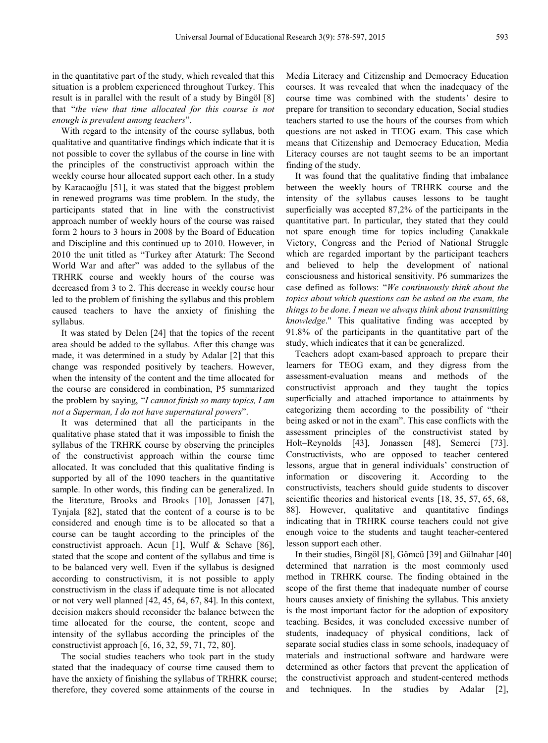in the quantitative part of the study, which revealed that this situation is a problem experienced throughout Turkey. This result is in parallel with the result of a study by Bingöl [8] that "*the view that time allocated for this course is not enough is prevalent among teachers*".

With regard to the intensity of the course syllabus, both qualitative and quantitative findings which indicate that it is not possible to cover the syllabus of the course in line with the principles of the constructivist approach within the weekly course hour allocated support each other. In a study by Karacaoğlu [51], it was stated that the biggest problem in renewed programs was time problem. In the study, the participants stated that in line with the constructivist approach number of weekly hours of the course was raised form 2 hours to 3 hours in 2008 by the Board of Education and Discipline and this continued up to 2010. However, in 2010 the unit titled as "Turkey after Ataturk: The Second World War and after" was added to the syllabus of the TRHRK course and weekly hours of the course was decreased from 3 to 2. This decrease in weekly course hour led to the problem of finishing the syllabus and this problem caused teachers to have the anxiety of finishing the syllabus.

It was stated by Delen [24] that the topics of the recent area should be added to the syllabus. After this change was made, it was determined in a study by Adalar [2] that this change was responded positively by teachers. However, when the intensity of the content and the time allocated for the course are considered in combination, P5 summarized the problem by saying, "*I cannot finish so many topics, I am not a Superman, I do not have supernatural powers*".

It was determined that all the participants in the qualitative phase stated that it was impossible to finish the syllabus of the TRHRK course by observing the principles of the constructivist approach within the course time allocated. It was concluded that this qualitative finding is supported by all of the 1090 teachers in the quantitative sample. In other words, this finding can be generalized. In the literature, Brooks and Brooks [10], Jonassen [47], Tynjala [82], stated that the content of a course is to be considered and enough time is to be allocated so that a course can be taught according to the principles of the constructivist approach. Acun [1], Wulf & Schave [86], stated that the scope and content of the syllabus and time is to be balanced very well. Even if the syllabus is designed according to constructivism, it is not possible to apply constructivism in the class if adequate time is not allocated or not very well planned [42, 45, 64, 67, 84]. In this context, decision makers should reconsider the balance between the time allocated for the course, the content, scope and intensity of the syllabus according the principles of the constructivist approach [6, 16, 32, 59, 71, 72, 80].

The social studies teachers who took part in the study stated that the inadequacy of course time caused them to have the anxiety of finishing the syllabus of TRHRK course; therefore, they covered some attainments of the course in

Media Literacy and Citizenship and Democracy Education courses. It was revealed that when the inadequacy of the course time was combined with the students' desire to prepare for transition to secondary education, Social studies teachers started to use the hours of the courses from which questions are not asked in TEOG exam. This case which means that Citizenship and Democracy Education, Media Literacy courses are not taught seems to be an important finding of the study.

It was found that the qualitative finding that imbalance between the weekly hours of TRHRK course and the intensity of the syllabus causes lessons to be taught superficially was accepted 87,2% of the participants in the quantitative part. In particular, they stated that they could not spare enough time for topics including Çanakkale Victory, Congress and the Period of National Struggle which are regarded important by the participant teachers and believed to help the development of national consciousness and historical sensitivity. P6 summarizes the case defined as follows: "*We continuously think about the topics about which questions can be asked on the exam, the things to be done. I mean we always think about transmitting knowledge*." This qualitative finding was accepted by 91.8% of the participants in the quantitative part of the study, which indicates that it can be generalized.

Teachers adopt exam-based approach to prepare their learners for TEOG exam, and they digress from the assessment-evaluation means and methods of the constructivist approach and they taught the topics superficially and attached importance to attainments by categorizing them according to the possibility of "their being asked or not in the exam". This case conflicts with the assessment principles of the constructivist stated by Holt–Reynolds [43], Jonassen [48], Semerci [73]. Constructivists, who are opposed to teacher centered lessons, argue that in general individuals' construction of information or discovering it. According to the constructivists, teachers should guide students to discover scientific theories and historical events [18, 35, 57, 65, 68, 88]. However, qualitative and quantitative findings indicating that in TRHRK course teachers could not give enough voice to the students and taught teacher-centered lesson support each other.

In their studies, Bingöl [8], Gömcü [39] and Gülnahar [40] determined that narration is the most commonly used method in TRHRK course. The finding obtained in the scope of the first theme that inadequate number of course hours causes anxiety of finishing the syllabus. This anxiety is the most important factor for the adoption of expository teaching. Besides, it was concluded excessive number of students, inadequacy of physical conditions, lack of separate social studies class in some schools, inadequacy of materials and instructional software and hardware were determined as other factors that prevent the application of the constructivist approach and student-centered methods and techniques. In the studies by Adalar [2],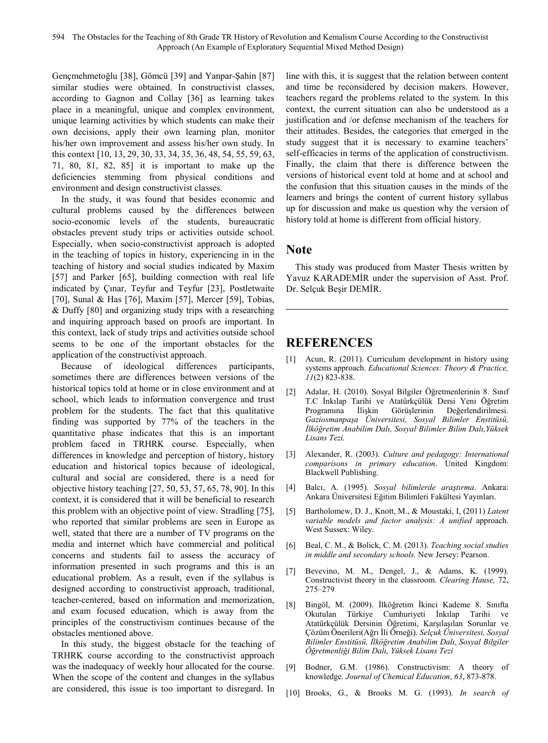Gençmehmetoğlu [38], Gömcü [39] and Yanpar-Şahin [87] similar studies were obtained. In constructivist classes, according to Gagnon and Collay [36] as learning takes place in a meaningful, unique and complex environment, unique learning activities by which students can make their own decisions, apply their own learning plan, monitor his/her own improvement and assess his/her own study. In this context [10, 13, 29, 30, 33, 34, 35, 36, 48, 54, 55, 59, 63, 71, 80, 81, 82, 85] it is important to make up the deficiencies stemming from physical conditions and environment and design constructivist classes.

In the study, it was found that besides economic and cultural problems caused by the differences between socio-economic levels of the students, bureaucratic obstacles prevent study trips or activities outside school. Especially, when socio-constructivist approach is adopted in the teaching of topics in history, experiencing in in the teaching of history and social studies indicated by Maxim [57] and Parker [65], building connection with real life indicated by Çınar, Teyfur and Teyfur [23], Postletwaite [70], Sunal & Has [76], Maxim [57], Mercer [59], Tobias, & Duffy [80] and organizing study trips with a researching and inquiring approach based on proofs are important. In this context, lack of study trips and activities outside school seems to be one of the important obstacles for the application of the constructivist approach.

Because of ideological differences participants, sometimes there are differences between versions of the historical topics told at home or in close environment and at school, which leads to information convergence and trust problem for the students. The fact that this qualitative finding was supported by 77% of the teachers in the quantitative phase indicates that this is an important problem faced in TRHRK course. Especially, when differences in knowledge and perception of history, history education and historical topics because of ideological, cultural and social are considered, there is a need for objective history teaching [27, 50, 53, 57, 65, 78, 90]. In this context, it is considered that it will be beneficial to research this problem with an objective point of view. Stradling [75], who reported that similar problems are seen in Europe as well, stated that there are a number of TV programs on the media and internet which have commercial and political concerns and students fail to assess the accuracy of information presented in such programs and this is an educational problem. As a result, even if the syllabus is designed according to constructivist approach, traditional, teacher-centered, based on information and memorization, and exam focused education, which is away from the principles of the constructivism continues because of the obstacles mentioned above.

In this study, the biggest obstacle for the teaching of TRHRK course according to the constructivist approach was the inadequacy of weekly hour allocated for the course. When the scope of the content and changes in the syllabus are considered, this issue is too important to disregard. In

line with this, it is suggest that the relation between content and time be reconsidered by decision makers. However, teachers regard the problems related to the system. In this context, the current situation can also be understood as a justification and /or defense mechanism of the teachers for their attitudes. Besides, the categories that emerged in the study suggest that it is necessary to examine teachers' self-efficacies in terms of the application of constructivism. Finally, the claim that there is difference between the versions of historical event told at home and at school and the confusion that this situation causes in the minds of the learners and brings the content of current history syllabus up for discussion and make us question why the version of history told at home is different from official history.

# **Note**

This study was produced from Master Thesis written by Yavuz KARADEMİR under the supervision of Asst. Prof. Dr. Selçuk Beşir DEMİR.

# **REFERENCES**

- [1] Acun, R. (2011). Curriculum development in history using systems approach. *Educational Sciences: Theory & Practice, 11*(2) 823-838.
- [2] Adalar, H. (2010). Sosyal Bilgiler Öğretmenlerinin 8. Sınıf T.C İnkılap Tarihi ve Atatürkçülük Dersi Yeni Öğretim Programına İlişkin Görüşlerinin Değerlendirilmesi. *Gaziosmanpaşa Üniversitesi, Sosyal Bilimler Enstitüsü, İlköğretim Anabilim Dalı, Sosyal Bilimler Bilim Dalı,Yüksek Lisans Tezi.*
- [3] Alexander, R. (2003). *Culture and pedagogy: International comparisons in primary education*. United Kingdom: Blackwell Publishing.
- [4] Balcı, A. (1995). *Sosyal bilimlerde araştırma*. Ankara: Ankara Üniversitesi Eğitim Bilimleri Fakültesi Yayınları.
- [5] Bartholomew, D. J., Knott, M., & Moustaki, I, (2011) *Latent variable models and factor analysis: A unified* approach. West Sussex: Wiley.
- [6] Beal, C. M., & Bolick, C. M. (2013). *Teaching social studies in middle and secondary schools.* New Jersey: Pearson.
- [7] Bevevino, M. M., Dengel, J., & Adams, K. (1999). Constructivist theory in the classroom. *Clearing Hause,* 72, 275–279
- [8] Bingöl, M. (2009). İlköğretim İkinci Kademe 8. Sınıfta Okutulan Türkiye Cumhuriyeti İnkılap Tarihi ve Atatürkçülük Dersinin Öğretimi, Karşılaşılan Sorunlar ve Çözüm Önerileri(Ağrı İli Örneği). *Selçuk Üniversitesi, Sosyal Bilimler Enstitüsü, İlköğretim Anabilim Dalı, Sosyal Bilgiler Öğretmenliği Bilim Dalı, Yüksek Lisans Tezi*
- [9] Bodner, G.M. (1986). Constructivism: A theory of knowledge. *Journal of Chemical Education*, *63*, 873-878.
- [10] Brooks, G., & Brooks M. G. (1993). *In search of*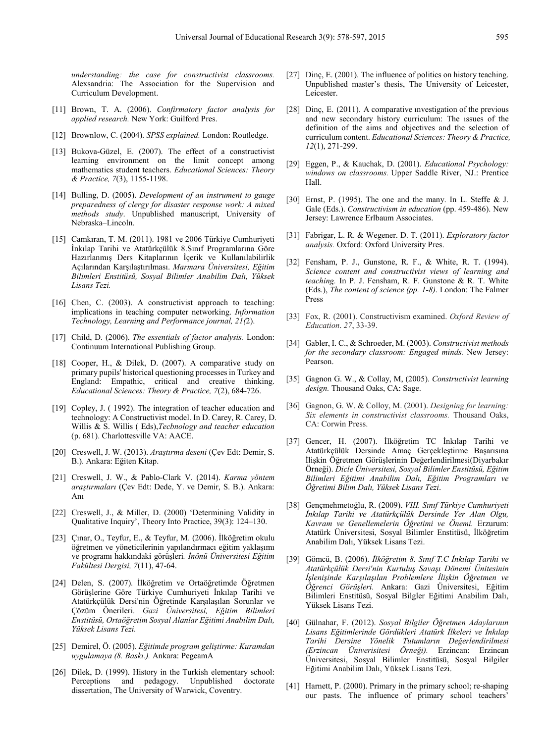*understanding: the case for constructivist classrooms.* Alexsandria: The Association for the Supervision and Curriculum Development.

- [11] Brown, T. A. (2006). *Confirmatory factor analysis for applied research.* New York: Guilford Pres.
- [12] Brownlow, C. (2004). *SPSS explained.* London: Routledge.
- [13] Bukova-Güzel, E. (2007). The effect of a constructivist learning environment on the limit concept among mathematics student teachers. *Educational Sciences: Theory & Practice, 7*(3), 1155-1198.
- [14] Bulling, D. (2005). *Development of an instrument to gauge preparedness of clergy for disaster response work: A mixed methods study*. Unpublished manuscript, University of Nebraska–Lincoln.
- [15] Camkıran, T. M. (2011). 1981 ve 2006 Türkiye Cumhuriyeti İnkılap Tarihi ve Atatürkçülük 8.Sınıf Programlarına Göre Hazırlanmış Ders Kitaplarının İçerik ve Kullanılabilirlik Açılarından Karşılaştırılması. *Marmara Üniversitesi, Eğitim Bilimleri Enstitüsü, Sosyal Bilimler Anabilim Dalı, Yüksek Lisans Tezi.*
- [16] Chen, C. (2003). A constructivist approach to teaching: implications in teaching computer networking. *Information Technology, Learning and Performance journal, 21(*2).
- [17] Child, D. (2006). *The essentials of factor analysis.* London: Continuum International Publishing Group.
- [18] Cooper, H., & Dilek, D. (2007). A comparative study on primary pupils' historical questioning processes in Turkey and England: Empathic, critical and creative thinking. *Educational Sciences: Theory & Practice, 7*(2), 684-726.
- [19] Copley, J. (1992). The integration of teacher education and technology: A Constructivist model. In D. Carey, R. Carey, D. Willis & S. Willis ( Eds),*Tecbnology and teacher education* (p. 681). Charlottesville VA: AACE.
- [20] Creswell, J. W. (2013). *Araştırma deseni* (Çev Edt: Demir, S. B.). Ankara: Eğiten Kitap.
- [21] Creswell, J. W., & Pablo-Clark V. (2014). *Karma yöntem araştırmaları* (Çev Edt: Dede, Y. ve Demir, S. B.). Ankara: Anı
- [22] Creswell, J., & Miller, D. (2000) 'Determining Validity in Qualitative Inquiry', Theory Into Practice, 39(3): 124–130.
- [23] Çınar, O., Teyfur, E., & Teyfur, M. (2006). İlköğretim okulu öğretmen ve yöneticilerinin yapılandırmacı eğitim yaklaşımı ve programı hakkındaki görüşleri*. İnönü Üniversitesi Eğitim Fakültesi Dergisi, 7*(11), 47-64.
- [24] Delen, S. (2007). İlköğretim ve Ortaöğretimde Öğretmen Görüşlerine Göre Türkiye Cumhuriyeti İnkılap Tarihi ve Atatürkçülük Dersi'nin Öğretinde Karşılaşılan Sorunlar ve Çözüm Önerileri. *Gazi Üniversitesi, Eğitim Bilimleri Enstitüsü, Ortaöğretim Sosyal Alanlar Eğitimi Anabilim Dalı, Yüksek Lisans Tezi.*
- [25] Demirel, Ö. (2005). *Eğitimde program geliştirme: Kuramdan uygulamaya (8. Baskı.).* Ankara: PegeamA
- [26] Dilek, D. (1999). History in the Turkish elementary school: Perceptions and pedagogy. Unpublished doctorate dissertation, The University of Warwick, Coventry.
- [27] Dinc, E. (2001). The influence of politics on history teaching. Unpublished master's thesis, The University of Leicester, Leicester.
- [28] Dinç, E. (2011). A comparative investigation of the previous and new secondary history curriculum: The ıssues of the definition of the aims and objectives and the selection of curriculum content. *Educational Sciences: Theory & Practice, 12*(1), 271-299.
- [29] Eggen, P., & Kauchak, D. (2001). *Educational Psychology: windows on classrooms.* Upper Saddle River, NJ.: Prentice Hall.
- [30] Ernst, P. (1995). The one and the many. In L. Steffe & J. Gale (Eds.). *Constructivism in education* (pp. 459-486). New Jersey: Lawrence Erlbaum Associates.
- [31] Fabrigar, L. R. & Wegener. D. T. (2011). *Exploratory factor analysis.* Oxford: Oxford University Pres.
- [32] Fensham, P. J., Gunstone, R. F., & White, R. T. (1994). *Science content and constructivist views of learning and teaching.* In P. J. Fensham, R. F. Gunstone & R. T. White (Eds.), *The content of science (pp. 1-8)*. London: The Falmer Press
- [33] Fox, R. (2001). Constructivism examined. *Oxford Review of Education*. *27*, 33-39.
- [34] Gabler, I. C., & Schroeder, M. (2003). *Constructivist methods for the secondary classroom: Engaged minds.* New Jersey: Pearson.
- [35] Gagnon G. W., & Collay, M, (2005). *Constructivist learning design.* Thousand Oaks, CA: Sage.
- [36] Gagnon, G. W. & Colloy, M. (2001). *Designing for learning: Six elements in constructivist classrooms.* Thousand Oaks, CA: Corwin Press.
- [37] Gencer, H. (2007). İlköğretim TC İnkılap Tarihi ve Atatürkçülük Dersinde Amaç Gerçekleştirme Başarısına İlişkin Öğretmen Görüşlerinin Değerlendirilmesi(Diyarbakır Örneği). *Dicle Üniversitesi, Sosyal Bilimler Enstitüsü, Eğitim Bilimleri Eğitimi Anabilim Dalı, Eğitim Programları ve Öğretimi Bilim Dalı, Yüksek Lisans Tezi*.
- [38] Gençmehmetoğlu, R. (2009). *VIII. Sınıf Türkiye Cumhuriyeti İnkılap Tarihi ve Atatürkçülük Dersinde Yer Alan Olgu, Kavram ve Genellemelerin Öğretimi ve Önemi.* Erzurum: Atatürk Üniversitesi, Sosyal Bilimler Enstitüsü, İlköğretim Anabilim Dalı, Yüksek Lisans Tezi.
- [39] Gömcü, B. (2006). *İlköğretim 8. Sınıf T.C İnkılap Tarihi ve Atatürkçülük Dersi'nin Kurtuluş Savaşı Dönemi Ünitesinin İşlenişinde Karşılaşılan Problemlere İlişkin Öğretmen ve Öğrenci Görüşleri.* Ankara: Gazi Üniversitesi, Eğitim Bilimleri Enstitüsü, Sosyal Bilgler Eğitimi Anabilim Dalı, Yüksek Lisans Tezi.
- [40] Gülnahar, F. (2012). *Sosyal Bilgiler Öğretmen Adaylarının Lisans Eğitimlerinde Gördükleri Atatürk İlkeleri ve İnkılap Tarihi Dersine Yönelik Tutumların Değerlendirilmesi (Erzincan Üniverisitesi Örneği).* Erzincan: Erzincan Üniversitesi, Sosyal Bilimler Enstitüsü, Sosyal Bilgiler Eğitimi Anabilim Dalı, Yüksek Lisans Tezi.
- [41] Harnett, P. (2000). Primary in the primary school; re-shaping our pasts. The influence of primary school teachers'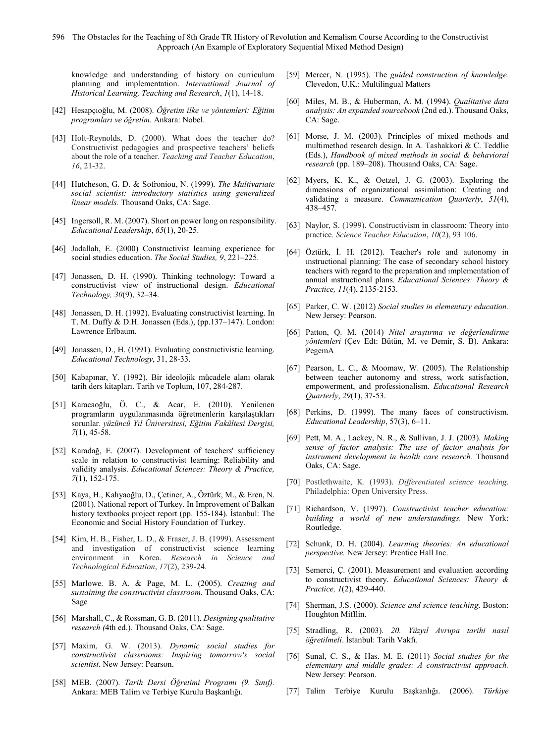knowledge and understanding of history on curriculum planning and implementation. *International Journal of Historical Learning, Teaching and Research*, *1*(1), 14-18.

- [42] Hesapçıoğlu, M. (2008). *Öğretim ilke ve yöntemleri: Eğitim programları ve öğretim*. Ankara: Nobel.
- [43] Holt-Reynolds, D. (2000). What does the teacher do? Constructivist pedagogies and prospective teachers' beliefs about the role of a teacher. *Teaching and Teacher Education*, *16*, 21-32.
- [44] Hutcheson, G. D. & Sofroniou, N. (1999). *The Multivariate social scientist: introductory statistics using generalized linear models.* Thousand Oaks, CA: Sage.
- [45] Ingersoll, R. M. (2007). Short on power long on responsibility. *Educational Leadership*, *65*(1), 20-25.
- [46] Jadallah, E. (2000) Constructivist learning experience for social studies education. *The Social Studies, 9*, 221–225.
- [47] Jonassen, D. H. (1990). Thinking technology: Toward a constructivist view of instructional design. *Educational Technology, 30*(9), 32–34.
- [48] Jonassen, D. H. (1992). Evaluating constructivist learning. In T. M. Duffy & D.H. Jonassen (Eds.), (pp.137–147). London: Lawrence Erlbaum.
- [49] Jonassen, D., H. (1991). Evaluating constructivistic learning. *Educational Technology*, 31, 28-33.
- [50] Kabapınar, Y. (1992). Bir ideolojik mücadele alanı olarak tarih ders kitapları. Tarih ve Toplum, 107, 284-287.
- [51] Karacaoğlu, Ö. C., & Acar, E. (2010). Yenilenen programların uygulanmasında öğretmenlerin karşılaştıkları sorunlar. *yüzüncü Yıl Üniversitesi, Eğitim Fakültesi Dergisi, 7*(1), 45-58.
- [52] Karadağ, E. (2007). Development of teachers' sufficiency scale in relation to constructivist learning: Reliability and validity analysis. *Educational Sciences: Theory & Practice, 7*(1), 152-175.
- [53] Kaya, H., Kahyaoğlu, D., Çetiner, A., Öztürk, M., & Eren, N. (2001). National report of Turkey. In Improvement of Balkan history textbooks project report (pp. 155-184). İstanbul: The Economic and Social History Foundation of Turkey.
- [54] Kim, H. B., Fisher, L. D., & Fraser, J. B. (1999). Assessment and investigation of constructivist science learning environment in Korea. *Research in Science and Technological Education*, *17*(2), 239-24.
- [55] Marlowe. B. A. & Page, M. L. (2005). *Creating and sustaining the constructivist classroom.* Thousand Oaks, CA: Sage
- [56] Marshall, C., & Rossman, G. B. (2011). *Designing qualitative research (*4th ed.). Thousand Oaks, CA: Sage.
- [57] Maxim, G. W. (2013). *Dynamic social studies for constructivist classrooms: Inspiring tomorrow's social scientist*. New Jersey: Pearson.
- [58] MEB. (2007). *Tarih Dersi Öğretimi Programı (9. Sınıf).* Ankara: MEB Talim ve Terbiye Kurulu Başkanlığı.
- [59] Mercer, N. (1995). The *guided construction of knowledge.* Clevedon, U.K.: Multilingual Matters
- [60] Miles, M. B., & Huberman, A. M. (1994). *Qualitative data analysis: An expanded sourcebook* (2nd ed.). Thousand Oaks, CA: Sage.
- [61] Morse, J. M. (2003). Principles of mixed methods and multimethod research design. In A. Tashakkori & C. Teddlie (Eds.), *Handbook of mixed methods in social & behavioral research* (pp. 189–208). Thousand Oaks, CA: Sage.
- [62] Myers, K. K., & Oetzel, J. G. (2003). Exploring the dimensions of organizational assimilation: Creating and validating a measure. *Communication Quarterly*, *51*(4), 438–457.
- [63] Naylor, S. (1999). Constructivism in classroom: Theory into practice. *Science Teacher Education*, *10*(2), 93 106.
- [64] Öztürk, İ. H. (2012). Teacher's role and autonomy in ınstructional planning: The case of secondary school history teachers with regard to the preparation and ımplementation of annual ınstructional plans. *Educational Sciences: Theory & Practice, 11*(4), 2135-2153.
- [65] Parker, C. W. (2012) *Social studies in elementary education.* New Jersey: Pearson.
- [66] Patton, Q. M. (2014) *Nitel araştırma ve değerlendirme yöntemleri* (Çev Edt: Bütün, M. ve Demir, S. B). Ankara: PegemA
- [67] Pearson, L. C., & Moomaw, W. (2005). The Relationship between teacher autonomy and stress, work satisfaction, empowerment, and professionalism. *Educational Research Quarterly*, *29*(1), 37-53.
- [68] Perkins, D. (1999). The many faces of constructivism. *Educational Leadership*, 57(3), 6–11.
- [69] Pett, M. A., Lackey, N. R., & Sullivan, J. J. (2003). *Making sense of factor analysis: The use of factor analysis for instrument development in health care research.* Thousand Oaks, CA: Sage.
- [70] Postlethwaite, K. (1993). *Differentiated science teaching*. Philadelphia: Open University Press.
- [71] Richardson, V. (1997). *Constructivist teacher education: building a world of new understandings.* New York: Routledge.
- [72] Schunk, D. H. (2004). *Learning theories: An educational perspective.* New Jersey: Prentice Hall Inc.
- [73] Semerci, Ç. (2001). Measurement and evaluation according to constructivist theory. *Educational Sciences: Theory & Practice, 1*(2), 429-440.
- [74] Sherman, J.S. (2000). *Science and science teaching*. Boston: Houghton Mifflin.
- [75] Stradling, R. (2003). *20. Yüzyıl Avrupa tarihi nasıl öğretilmeli*. İstanbul: Tarih Vakfı.
- [76] Sunal, C. S., & Has. M. E. (2011) *Social studies for the elementary and middle grades: A constructivist approach.* New Jersey: Pearson.
- [77] Talim Terbiye Kurulu Başkanlığı. (2006). *Türkiye*